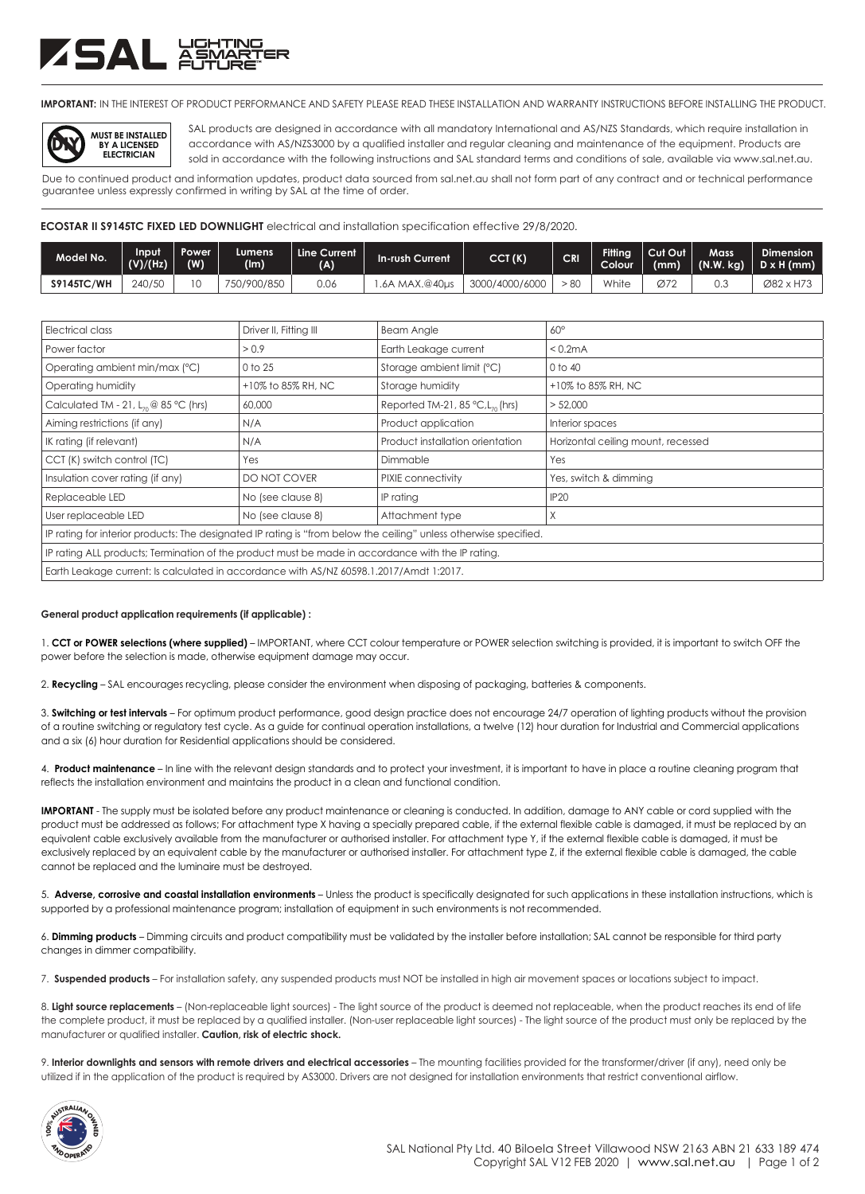## ZSAL ä<del>ä</del>

**IMPORTANT:** IN THE INTEREST OF PRODUCT PERFORMANCE AND SAFETY PLEASE READ THESE INSTALLATION AND WARRANTY INSTRUCTIONS BEFORE INSTALLING THE PRODUCT.



SAL products are designed in accordance with all mandatory International and AS/NZS Standards, which require installation in accordance with AS/NZS3000 by a qualified installer and regular cleaning and maintenance of the equipment. Products are sold in accordance with the following instructions and SAL standard terms and conditions of sale, available via www.sal.net.au.

Due to continued product and information updates, product data sourced from sal.net.au shall not form part of any contract and or technical performance guarantee unless expressly confirmed in writing by SAL at the time of order.

**ECOSTAR II S9145TC FIXED LED DOWNLIGHT** electrical and installation specification effective 29/8/2020.

| Model No.         | Input<br>(V)/(Hz) | Power<br>(W) | Lumens<br>(lm) | Line Current<br>(A) | In-rush Current | CCT(K)         | <b>CRI</b> | <b>Fitting</b><br>Colour <sup>1</sup> | Cut Out<br>(mm) | <b>Mass</b> | Dimension<br>  (N.W. kg)   D x H (mm) |
|-------------------|-------------------|--------------|----------------|---------------------|-----------------|----------------|------------|---------------------------------------|-----------------|-------------|---------------------------------------|
| <b>S9145TC/WH</b> | 240/50            |              | 750/900/850    | 0.06                | .6A MAX.@40µs   | 3000/4000/6000 | - 80       | White                                 | Ø72             | ∪.∪         | Ø82 x H73                             |

| Electrical class                                                                                                  | Driver II, Fitting III | <b>Beam Angle</b>                               | $60^\circ$                         |  |  |  |
|-------------------------------------------------------------------------------------------------------------------|------------------------|-------------------------------------------------|------------------------------------|--|--|--|
| Power factor                                                                                                      | > 0.9                  | Earth Leakage current                           | < 0.2mA                            |  |  |  |
| Operating ambient min/max (°C)                                                                                    | 0 to 25                | Storage ambient limit (°C)                      | 0 to 40                            |  |  |  |
| Operating humidity                                                                                                | +10% to 85% RH, NC     | Storage humidity                                | +10% to 85% RH, NC                 |  |  |  |
| Calculated TM - 21, $L_{70}$ @ 85 °C (hrs)                                                                        | 60,000                 | Reported TM-21, 85 $°C$ , L <sub>70</sub> (hrs) | > 52,000                           |  |  |  |
| Aiming restrictions (if any)                                                                                      | N/A                    | Product application                             | Interior spaces                    |  |  |  |
| IK rating (if relevant)                                                                                           | N/A                    | Product installation orientation                | Horizontal ceiling mount, recessed |  |  |  |
| CCT (K) switch control (TC)                                                                                       | Yes                    | Dimmable                                        | Yes                                |  |  |  |
| Insulation cover rating (if any)                                                                                  | DO NOT COVER           | PIXIE connectivity                              | Yes, switch & dimming              |  |  |  |
| Replaceable LED                                                                                                   | No (see clause 8)      | IP rating                                       | <b>IP20</b>                        |  |  |  |
| User replaceable LED                                                                                              | No (see clause 8)      | Attachment type                                 | Χ                                  |  |  |  |
| IP rating for interior products: The designated IP rating is "from below the ceiling" unless otherwise specified. |                        |                                                 |                                    |  |  |  |
| IP rating ALL products; Termination of the product must be made in accordance with the IP rating.                 |                        |                                                 |                                    |  |  |  |
| Earth Leakage current: Is calculated in accordance with AS/NZ 60598.1.2017/Amdt 1:2017.                           |                        |                                                 |                                    |  |  |  |

## **General product application requirements (if applicable) :**

1. **CCT or POWER selections (where supplied)** – IMPORTANT, where CCT colour temperature or POWER selection switching is provided, it is important to switch OFF the power before the selection is made, otherwise equipment damage may occur.

2. **Recycling** – SAL encourages recycling, please consider the environment when disposing of packaging, batteries & components.

3. **Switching or test intervals** – For optimum product performance, good design practice does not encourage 24/7 operation of lighting products without the provision of a routine switching or regulatory test cycle. As a guide for continual operation installations, a twelve (12) hour duration for Industrial and Commercial applications and a six (6) hour duration for Residential applications should be considered.

4. **Product maintenance** – In line with the relevant design standards and to protect your investment, it is important to have in place a routine cleaning program that reflects the installation environment and maintains the product in a clean and functional condition.

**IMPORTANT** - The supply must be isolated before any product maintenance or cleaning is conducted. In addition, damage to ANY cable or cord supplied with the product must be addressed as follows; For attachment type X having a specially prepared cable, if the external flexible cable is damaged, it must be replaced by an equivalent cable exclusively available from the manufacturer or authorised installer. For attachment type Y, if the external flexible cable is damaged, it must be exclusively replaced by an equivalent cable by the manufacturer or authorised installer. For attachment type Z, if the external flexible cable is damaged, the cable cannot be replaced and the luminaire must be destroyed.

5. **Adverse, corrosive and coastal installation environments** – Unless the product is specifically designated for such applications in these installation instructions, which is supported by a professional maintenance program; installation of equipment in such environments is not recommended.

6. **Dimming products** – Dimming circuits and product compatibility must be validated by the installer before installation; SAL cannot be responsible for third party changes in dimmer compatibility.

7. **Suspended products** – For installation safety, any suspended products must NOT be installed in high air movement spaces or locations subject to impact.

8. Light source replacements - (Non-replaceable light sources) - The light source of the product is deemed not replaceable, when the product reaches its end of life the complete product, it must be replaced by a qualified installer. (Non-user replaceable light sources) - The light source of the product must only be replaced by the manufacturer or qualified installer. **Caution, risk of electric shock.**

9. Interior downlights and sensors with remote drivers and electrical accessories - The mounting facilities provided for the transformer/driver (if any), need only be utilized if in the application of the product is required by AS3000. Drivers are not designed for installation environments that restrict conventional airflow.